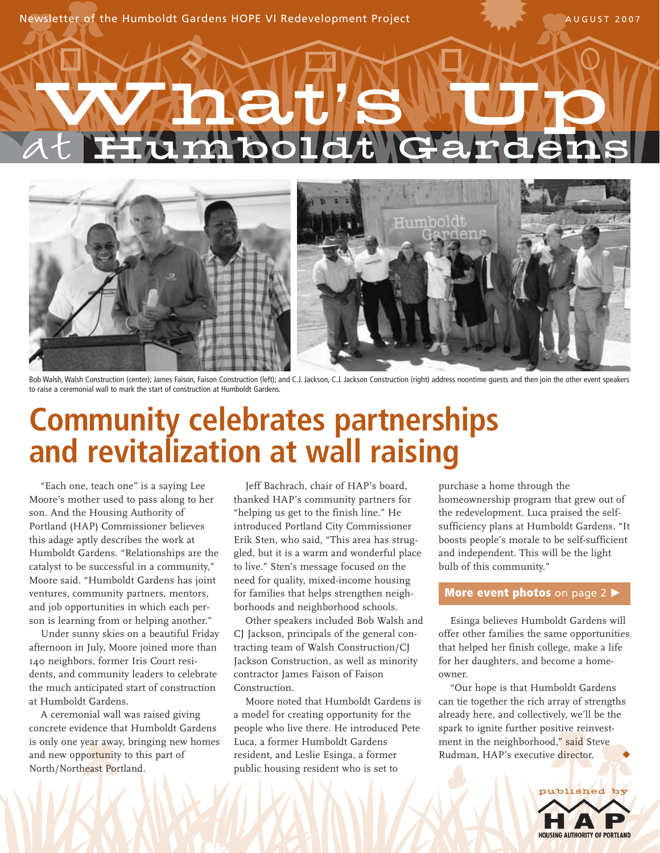Newsletter of the Humboldt Gardens HOPE VI Redevelopment Project AUGUST 2007

# at What **'**s Up Humboldt Gardens



Bob Walsh, Walsh Construction (center); James Faison, Faison Construction (left); and C.J. Jackson, C.J. Jackson Construction (right) address noontime guests and then join the other event speakers to raise a ceremonial wall to mark the start of construction at Humboldt Gardens.

### **Community celebrates partnerships and revitalization at wall raising**

"Each one, teach one" is a saying Lee Moore's mother used to pass along to her son. And the Housing Authority of Portland (HAP) Commissioner believes this adage aptly describes the work at Humboldt Gardens. "Relationships are the catalyst to be successful in a community," Moore said. "Humboldt Gardens has joint ventures, community partners, mentors, and job opportunities in which each person is learning from or helping another."

Under sunny skies on a beautiful Friday afternoon in July, Moore joined more than 140 neighbors, former Iris Court residents, and community leaders to celebrate the much anticipated start of construction at Humboldt Gardens.

A ceremonial wall was raised giving concrete evidence that Humboldt Gardens is only one year away, bringing new homes and new opportunity to this part of North/Northeast Portland.

Jeff Bachrach, chair of HAP's board, thanked HAP's community partners for "helping us get to the finish line." He introduced Portland City Commissioner Erik Sten, who said, "This area has struggled, but it is a warm and wonderful place to live." Sten's message focused on the need for quality, mixed-income housing for families that helps strengthen neighborhoods and neighborhood schools.

Other speakers included Bob Walsh and CJ Jackson, principals of the general contracting team of Walsh Construction/CJ Jackson Construction, as well as minority contractor James Faison of Faison Construction.

Moore noted that Humboldt Gardens is a model for creating opportunity for the people who live there. He introduced Pete Luca, a former Humboldt Gardens resident, and Leslie Esinga, a former public housing resident who is set to

purchase a home through the homeownership program that grew out of the redevelopment. Luca praised the selfsufficiency plans at Humboldt Gardens. "It boosts people's morale to be self-sufficient and independent. This will be the light bulb of this community."

#### **More event photos** on page 2

Esinga believes Humboldt Gardens will offer other families the same opportunities that helped her finish college, make a life for her daughters, and become a homeowner.

"Our hope is that Humboldt Gardens can tie together the rich array of strengths already here, and collectively, we'll be the spark to ignite further positive reinvestment in the neighborhood," said Steve Rudman, HAP's executive director.

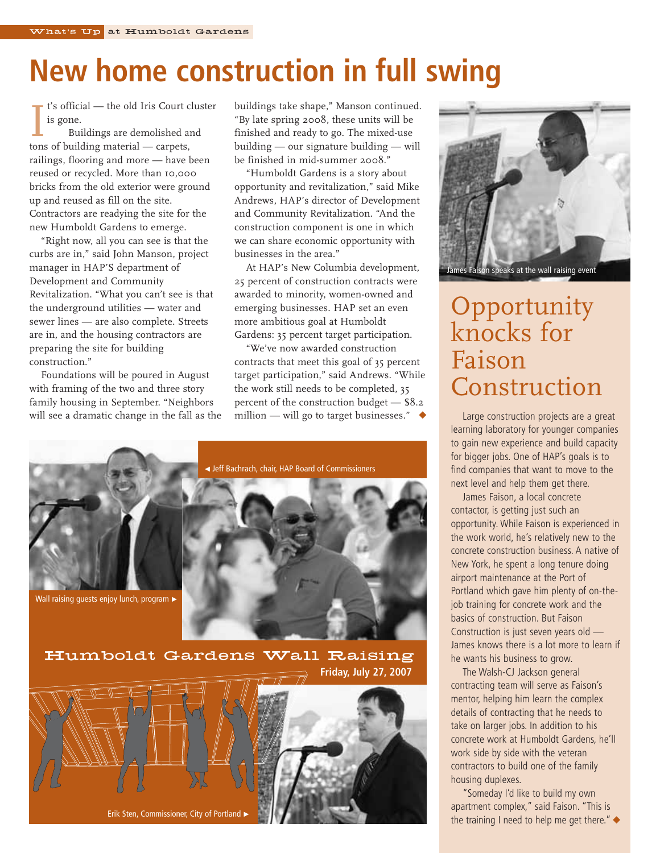### **New home construction in full swing**

t's official — the old Iris Court cluster is gone.

I's official — the old Iris Court c<br>
is gone.<br>
Buildings are demolished a<br>
tons of building material — carpets, Buildings are demolished and railings, flooring and more — have been reused or recycled. More than 10,000 bricks from the old exterior were ground up and reused as fill on the site. Contractors are readying the site for the new Humboldt Gardens to emerge.

"Right now, all you can see is that the curbs are in," said John Manson, project manager in HAP'S department of Development and Community Revitalization. "What you can't see is that the underground utilities — water and sewer lines — are also complete. Streets are in, and the housing contractors are preparing the site for building construction."

Foundations will be poured in August with framing of the two and three story family housing in September. "Neighbors will see a dramatic change in the fall as the buildings take shape," Manson continued. "By late spring 2008, these units will be finished and ready to go. The mixed-use building — our signature building — will be finished in mid-summer 2008."

"Humboldt Gardens is a story about opportunity and revitalization," said Mike Andrews, HAP's director of Development and Community Revitalization. "And the construction component is one in which we can share economic opportunity with businesses in the area."

At HAP's New Columbia development, 25 percent of construction contracts were awarded to minority, women-owned and emerging businesses. HAP set an even more ambitious goal at Humboldt Gardens: 35 percent target participation.

"We've now awarded construction contracts that meet this goal of 35 percent target participation," said Andrews. "While the work still needs to be completed, 35 percent of the construction budget — \$8.2 million — will go to target businesses."  $\triangleleft$ 



Humboldt Gardens Wall Raising **Friday, July 27, 2007**





### Opportunity knocks for Faison Construction

Large construction projects are a great learning laboratory for younger companies to gain new experience and build capacity for bigger jobs. One of HAP's goals is to find companies that want to move to the next level and help them get there.

James Faison, a local concrete contactor, is getting just such an opportunity. While Faison is experienced in the work world, he's relatively new to the concrete construction business. A native of New York, he spent a long tenure doing airport maintenance at the Port of Portland which gave him plenty of on-thejob training for concrete work and the basics of construction. But Faison Construction is just seven years old — James knows there is a lot more to learn if he wants his business to grow.

The Walsh-CJ Jackson general contracting team will serve as Faison's mentor, helping him learn the complex details of contracting that he needs to take on larger jobs. In addition to his concrete work at Humboldt Gardens, he'll work side by side with the veteran contractors to build one of the family housing duplexes.

"Someday I'd like to build my own apartment complex," said Faison. "This is the training I need to help me get there." $\blacklozenge$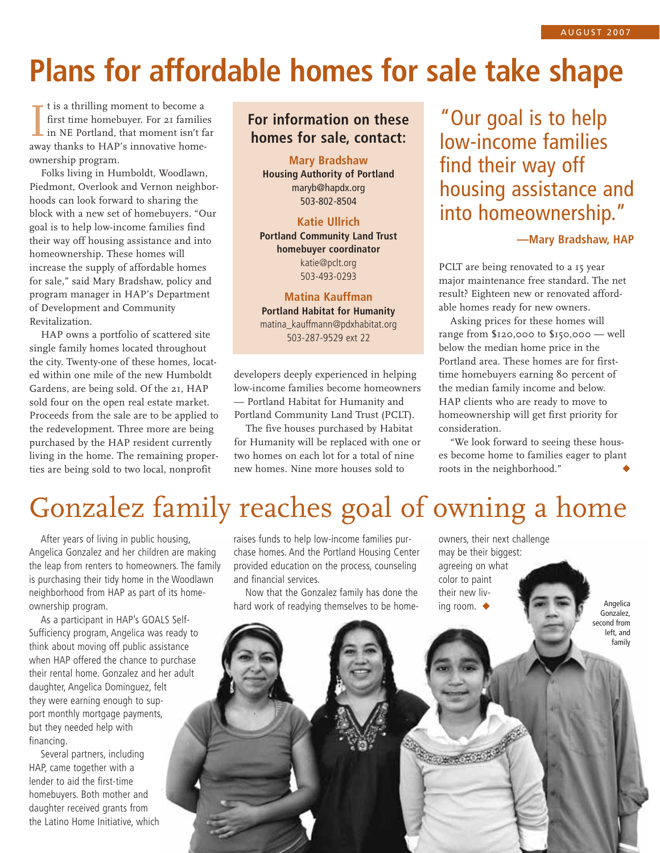## **Plans for affordable homes for sale take shape**

I is a thrilling moment to become a<br>first time homebuyer. For 21 familie<br>in NE Portland, that moment isn't fa<br>way thanks to HAP's innovative homet is a thrilling moment to become a first time homebuyer. For 21 families in NE Portland, that moment isn't far ownership program.

Folks living in Humboldt, Woodlawn, Piedmont, Overlook and Vernon neighborhoods can look forward to sharing the block with a new set of homebuyers. "Our goal is to help low-income families find their way off housing assistance and into homeownership. These homes will increase the supply of affordable homes for sale," said Mary Bradshaw, policy and program manager in HAP's Department of Development and Community Revitalization.

HAP owns a portfolio of scattered site single family homes located throughout the city. Twenty-one of these homes, located within one mile of the new Humboldt Gardens, are being sold. Of the 21, HAP sold four on the open real estate market. Proceeds from the sale are to be applied to the redevelopment. Three more are being purchased by the HAP resident currently living in the home. The remaining properties are being sold to two local, nonprofit

#### **For information on these homes for sale, contact:**

**Mary Bradshaw Housing Authority of Portland** maryb@hapdx.org 503-802-8504

**Katie Ullrich Portland Community Land Trust homebuyer coordinator** katie@pclt.org 503-493-0293

**Matina Kauffman Portland Habitat for Humanity** matina\_kauffmann@pdxhabitat.org 503-287-9529 ext 22

developers deeply experienced in helping low-income families become homeowners — Portland Habitat for Humanity and Portland Community Land Trust (PCLT).

The five houses purchased by Habitat for Humanity will be replaced with one or two homes on each lot for a total of nine new homes. Nine more houses sold to

"Our goal is to help low-income families find their way off housing assistance and into homeownership."

**—Mary Bradshaw, HAP**

PCLT are being renovated to a 15 year major maintenance free standard. The net result? Eighteen new or renovated affordable homes ready for new owners.

Asking prices for these homes will range from \$120,000 to \$150,000 — well below the median home price in the Portland area. These homes are for firsttime homebuyers earning 80 percent of the median family income and below. HAP clients who are ready to move to homeownership will get first priority for consideration.

"We look forward to seeing these houses become home to families eager to plant roots in the neighborhood."

### Gonzalez family reaches goal of owning a home

After years of living in public housing, Angelica Gonzalez and her children are making the leap from renters to homeowners. The family is purchasing their tidy home in the Woodlawn neighborhood from HAP as part of its homeownership program.

As a participant in HAP's GOALS Self-Sufficiency program, Angelica was ready to think about moving off public assistance when HAP offered the chance to purchase their rental home. Gonzalez and her adult daughter, Angelica Dominguez, felt they were earning enough to support monthly mortgage payments, but they needed help with financing.

Several partners, including HAP, came together with a lender to aid the first-time homebuyers. Both mother and daughter received grants from the Latino Home Initiative, which raises funds to help low-income families purchase homes. And the Portland Housing Center provided education on the process, counseling and financial services.

Now that the Gonzalez family has done the hard work of readying themselves to be homeowners, their next challenge may be their biggest: agreeing on what color to paint their new living room. ◆

**COMPROMORE** 

Angelica Gonzalez, second from left, and family